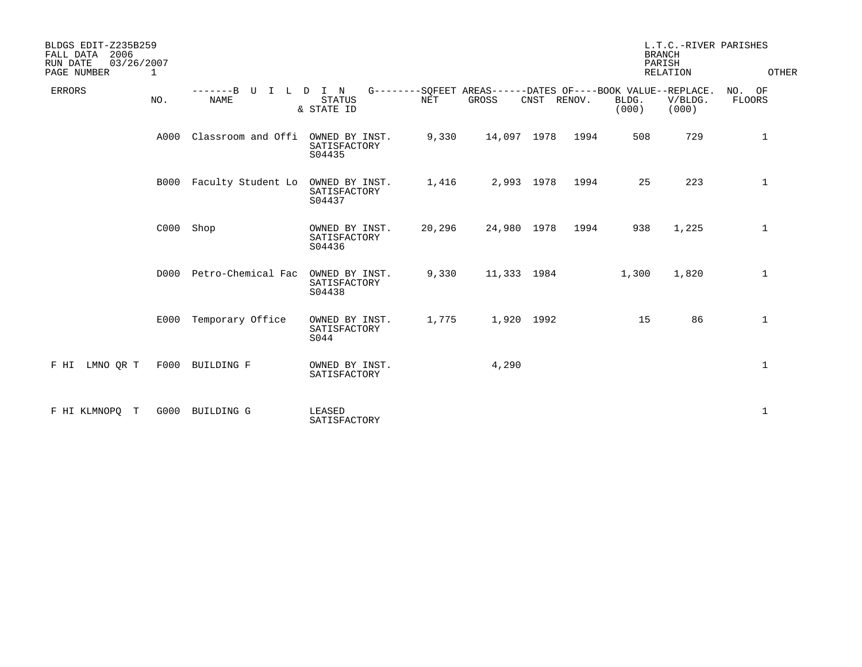| BLDGS EDIT-Z235B259<br>2006<br>FALL DATA<br>RUN DATE<br>03/26/2007<br>PAGE NUMBER<br>1 |      |                                 |                                          |            |                                                                      |             |                | L.T.C.-RIVER PARISHES<br><b>BRANCH</b><br>PARISH<br>RELATION | OTHER               |
|----------------------------------------------------------------------------------------|------|---------------------------------|------------------------------------------|------------|----------------------------------------------------------------------|-------------|----------------|--------------------------------------------------------------|---------------------|
| <b>ERRORS</b><br>NO.                                                                   |      | -------B<br>U<br>$\top$<br>NAME | L D I N<br><b>STATUS</b><br>& STATE ID   | <b>NET</b> | G--------SOFEET AREAS------DATES OF----BOOK VALUE--REPLACE.<br>GROSS | CNST RENOV. | BLDG.<br>(000) | V/BLDG.<br>(000)                                             | NO.<br>OF<br>FLOORS |
|                                                                                        | A000 | Classroom and Offi              | OWNED BY INST.<br>SATISFACTORY<br>S04435 | 9,330      | 14,097 1978                                                          | 1994        | 508            | 729                                                          | 1                   |
|                                                                                        | B000 | Faculty Student Lo              | OWNED BY INST.<br>SATISFACTORY<br>S04437 | 1,416      | 2,993 1978                                                           | 1994        | 25             | 223                                                          | 1                   |
|                                                                                        | C000 | Shop                            | OWNED BY INST.<br>SATISFACTORY<br>S04436 | 20,296     | 24,980 1978                                                          | 1994        | 938            | 1,225                                                        | 1                   |
|                                                                                        | D000 | Petro-Chemical Fac              | OWNED BY INST.<br>SATISFACTORY<br>S04438 | 9,330      | 11,333 1984                                                          |             | 1,300          | 1,820                                                        | $\mathbf 1$         |
|                                                                                        | E000 | Temporary Office                | OWNED BY INST.<br>SATISFACTORY<br>S044   | 1,775      | 1,920 1992                                                           |             | 15             | 86                                                           | 1                   |
| F HI LMNO QR T                                                                         |      | F000 BUILDING F                 | OWNED BY INST.<br>SATISFACTORY           |            | 4,290                                                                |             |                |                                                              | $\mathbf{1}$        |
| F HI KLMNOPO<br>T                                                                      | G000 | <b>BUILDING G</b>               | LEASED<br>SATISFACTORY                   |            |                                                                      |             |                |                                                              | 1                   |